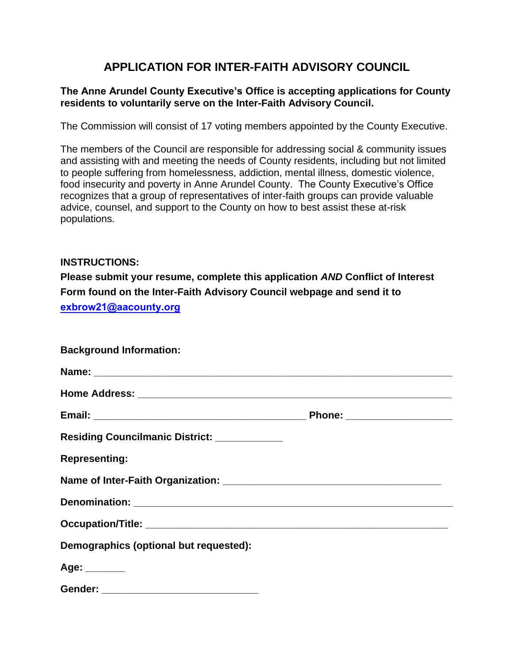## **APPLICATION FOR INTER-FAITH ADVISORY COUNCIL**

## **The Anne Arundel County Executive's Office is accepting applications for County residents to voluntarily serve on the Inter-Faith Advisory Council.**

The Commission will consist of 17 voting members appointed by the County Executive.

The members of the Council are responsible for addressing social & community issues and assisting with and meeting the needs of County residents, including but not limited to people suffering from homelessness, addiction, mental illness, domestic violence, food insecurity and poverty in Anne Arundel County. The County Executive's Office recognizes that a group of representatives of inter-faith groups can provide valuable advice, counsel, and support to the County on how to best assist these at-risk populations.

## **INSTRUCTIONS:**

**Please submit your resume, complete this application** *AND* **Conflict of Interest Form found on the Inter-Faith Advisory Council webpage and send it to exbrow21@aacounty.org**

| <b>Background Information:</b>               |  |
|----------------------------------------------|--|
|                                              |  |
|                                              |  |
|                                              |  |
| Residing Councilmanic District: ____________ |  |
| <b>Representing:</b>                         |  |
|                                              |  |
|                                              |  |
|                                              |  |
| Demographics (optional but requested):       |  |
| Age: _______                                 |  |
| Gender: _______________________________      |  |